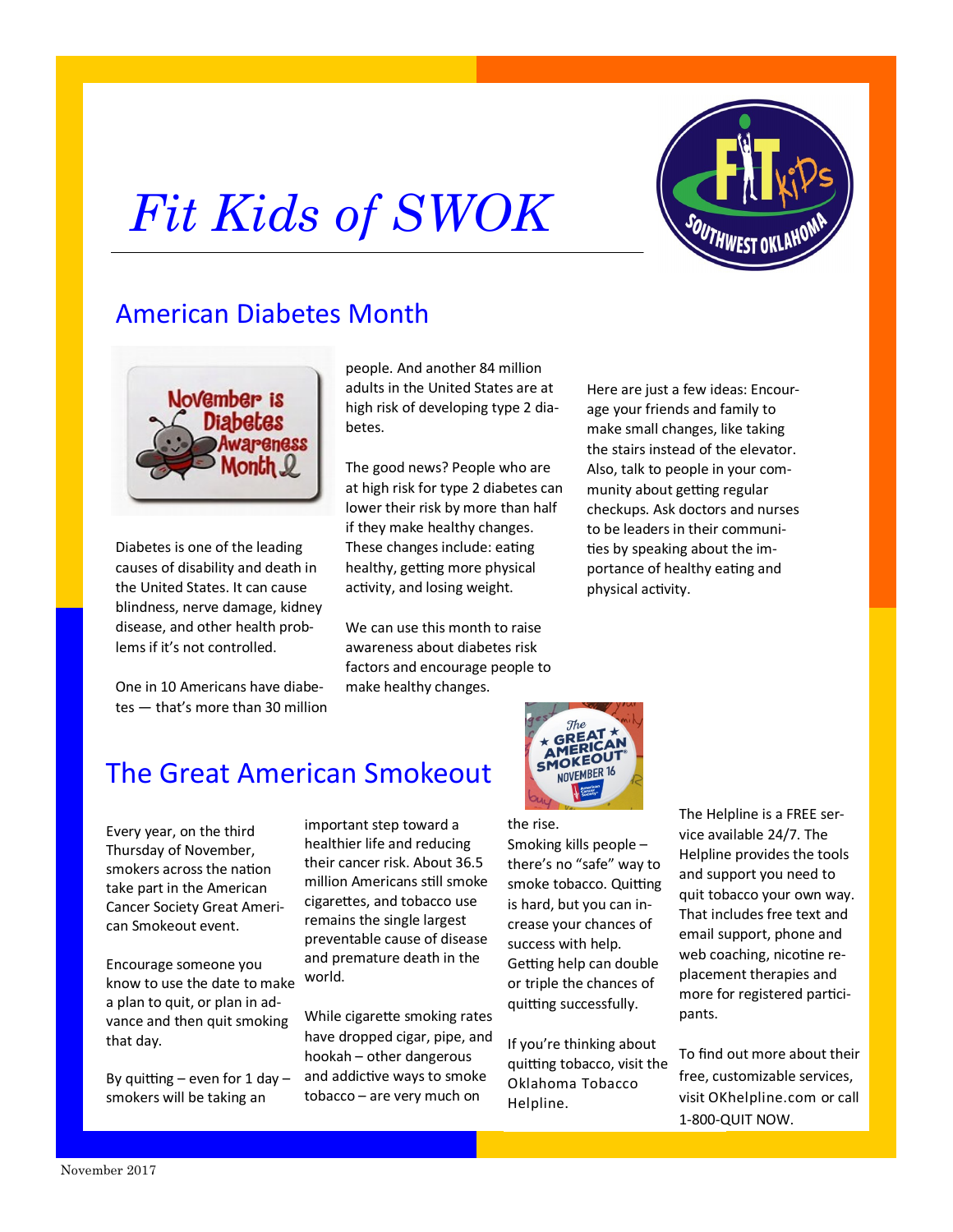# *Fit Kids of SWOK*





Diabetes is one of the leading causes of disability and death in the United States. It can cause blindness, nerve damage, kidney disease, and other health problems if it's not controlled.

One in 10 Americans have diabetes — that's more than 30 million people. And another 84 million adults in the United States are at high risk of developing type 2 diabetes.

The good news? People who are at high risk for type 2 diabetes can lower their risk by more than half if they make healthy changes. These changes include: eating healthy, getting more physical activity, and losing weight.

We can use this month to raise awareness about diabetes risk factors and encourage people to make healthy changes.

Here are just a few ideas: Encourage your friends and family to make small changes, like taking the stairs instead of the elevator. Also, talk to people in your community about getting regular checkups. Ask doctors and nurses to be leaders in their communities by speaking about the importance of healthy eating and physical activity.



### the rise.

Smoking kills people – there's no "safe" way to smoke tobacco. Quitting is hard, but you can increase your chances of success with help. Getting help can double or triple the chances of quitting successfully.

If you're thinking about quitting tobacco, visit the [Oklahoma Tobacco](https://okhelpline.com/free-services/?utm_source=Facebook&utm_medium=Social&utm_campaign=Benefits%20FY18&utm_term=Instant%20Article&utm_content=FAQ%20IA%20-%20Free%20Services)  [Helpline.](https://okhelpline.com/free-services/?utm_source=Facebook&utm_medium=Social&utm_campaign=Benefits%20FY18&utm_term=Instant%20Article&utm_content=FAQ%20IA%20-%20Free%20Services)

The Helpline is a FREE service available 24/7. The Helpline provides the tools and support you need to quit tobacco your own way. That includes free text and email support, phone and web coaching, nicotine replacement therapies and more for registered participants.

To find out more about their free, customizable services, visit [OKhelpline.com](https://okhelpline.com/free-services/?utm_source=Facebook&utm_medium=Social&utm_campaign=Benefits%20FY18&utm_term=Instant%20Article&utm_content=FAQ%20IA%20-%20Free%20Services) or call 1-800-QUIT NOW.

# The Great American Smokeout

Every year, on the third Thursday of November, smokers across the nation take part in the American Cancer Society Great American Smokeout event.

Encourage someone you know to use the date to make a plan to quit, or plan in advance and then quit smoking that day.

By quitting  $-$  even for 1 day  $$ smokers will be taking an

important step toward a healthier life and reducing their cancer risk. About 36.5 million Americans still smoke cigarettes, and tobacco use remains the single largest preventable cause of disease and premature death in the world.

While cigarette smoking rates have dropped cigar, pipe, and hookah – other dangerous and addictive ways to smoke tobacco – are very much on

#### November 2017